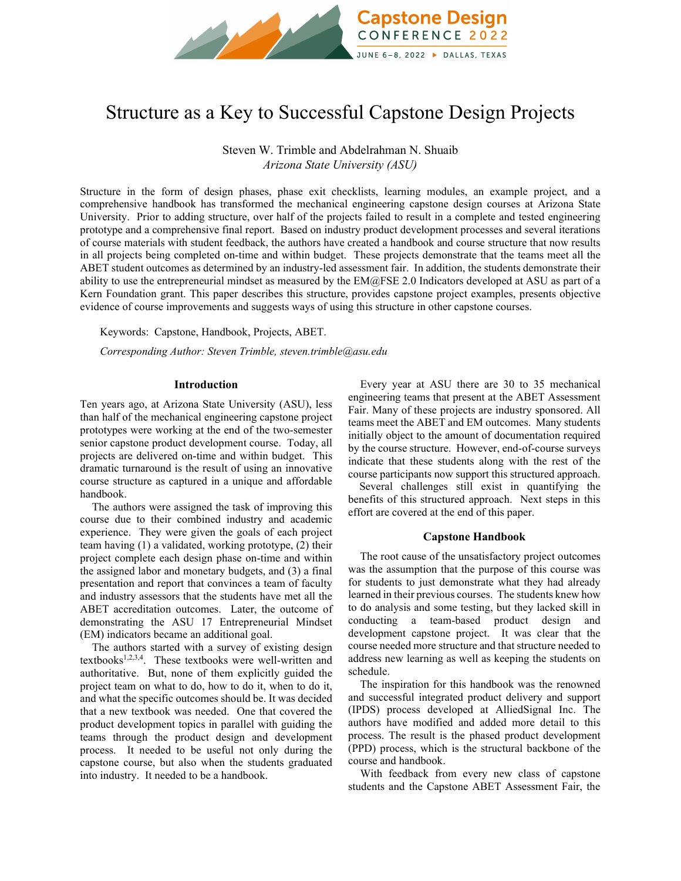

# Structure as a Key to Successful Capstone Design Projects

Steven W. Trimble and Abdelrahman N. Shuaib *Arizona State University (ASU)*

Structure in the form of design phases, phase exit checklists, learning modules, an example project, and a comprehensive handbook has transformed the mechanical engineering capstone design courses at Arizona State University. Prior to adding structure, over half of the projects failed to result in a complete and tested engineering prototype and a comprehensive final report. Based on industry product development processes and several iterations of course materials with student feedback, the authors have created a handbook and course structure that now results in all projects being completed on-time and within budget. These projects demonstrate that the teams meet all the ABET student outcomes as determined by an industry-led assessment fair. In addition, the students demonstrate their ability to use the entrepreneurial mindset as measured by the EM@FSE 2.0 Indicators developed at ASU as part of a Kern Foundation grant. This paper describes this structure, provides capstone project examples, presents objective evidence of course improvements and suggests ways of using this structure in other capstone courses.

Keywords:Capstone, Handbook, Projects, ABET.

*Corresponding Author: Steven Trimble, steven.trimble@asu.edu* 

## **Introduction**

Ten years ago, at Arizona State University (ASU), less than half of the mechanical engineering capstone project prototypes were working at the end of the two-semester senior capstone product development course. Today, all projects are delivered on-time and within budget. This dramatic turnaround is the result of using an innovative course structure as captured in a unique and affordable handbook.

The authors were assigned the task of improving this course due to their combined industry and academic experience. They were given the goals of each project team having (1) a validated, working prototype, (2) their project complete each design phase on-time and within the assigned labor and monetary budgets, and (3) a final presentation and report that convinces a team of faculty and industry assessors that the students have met all the ABET accreditation outcomes. Later, the outcome of demonstrating the ASU 17 Entrepreneurial Mindset (EM) indicators became an additional goal.

The authors started with a survey of existing design textbooks<sup>1,2,3,4</sup>. These textbooks were well-written and authoritative. But, none of them explicitly guided the project team on what to do, how to do it, when to do it, and what the specific outcomes should be. It was decided that a new textbook was needed. One that covered the product development topics in parallel with guiding the teams through the product design and development process. It needed to be useful not only during the capstone course, but also when the students graduated into industry. It needed to be a handbook.

Every year at ASU there are 30 to 35 mechanical engineering teams that present at the ABET Assessment Fair. Many of these projects are industry sponsored. All teams meet the ABET and EM outcomes. Many students initially object to the amount of documentation required by the course structure. However, end-of-course surveys indicate that these students along with the rest of the course participants now support this structured approach.

 Several challenges still exist in quantifying the benefits of this structured approach. Next steps in this effort are covered at the end of this paper.

## **Capstone Handbook**

The root cause of the unsatisfactory project outcomes was the assumption that the purpose of this course was for students to just demonstrate what they had already learned in their previous courses. The students knew how to do analysis and some testing, but they lacked skill in conducting a team-based product design and development capstone project. It was clear that the course needed more structure and that structure needed to address new learning as well as keeping the students on schedule.

The inspiration for this handbook was the renowned and successful integrated product delivery and support (IPDS) process developed at AlliedSignal Inc. The authors have modified and added more detail to this process. The result is the phased product development (PPD) process, which is the structural backbone of the course and handbook.

With feedback from every new class of capstone students and the Capstone ABET Assessment Fair, the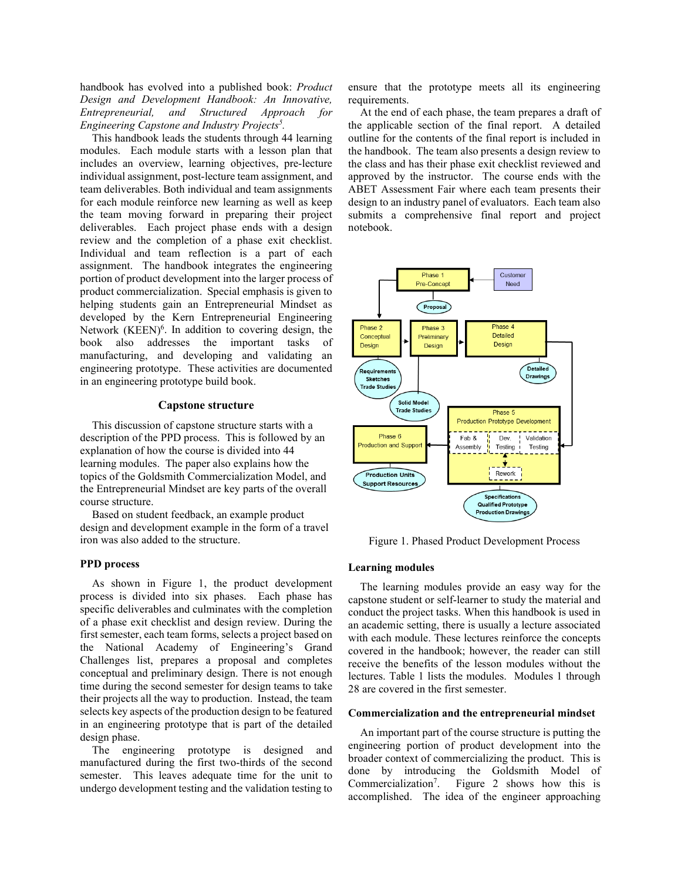handbook has evolved into a published book: *Product Design and Development Handbook: An Innovative, Entrepreneurial, and Structured Approach for Engineering Capstone and Industry Projects5 .*

This handbook leads the students through 44 learning modules. Each module starts with a lesson plan that includes an overview, learning objectives, pre-lecture individual assignment, post-lecture team assignment, and team deliverables. Both individual and team assignments for each module reinforce new learning as well as keep the team moving forward in preparing their project deliverables. Each project phase ends with a design review and the completion of a phase exit checklist. Individual and team reflection is a part of each assignment. The handbook integrates the engineering portion of product development into the larger process of product commercialization. Special emphasis is given to helping students gain an Entrepreneurial Mindset as developed by the Kern Entrepreneurial Engineering Network (KEEN)<sup>6</sup>. In addition to covering design, the book also addresses the important tasks of manufacturing, and developing and validating an engineering prototype. These activities are documented in an engineering prototype build book.

## **Capstone structure**

This discussion of capstone structure starts with a description of the PPD process. This is followed by an explanation of how the course is divided into 44 learning modules. The paper also explains how the topics of the Goldsmith Commercialization Model, and the Entrepreneurial Mindset are key parts of the overall course structure.

Based on student feedback, an example product design and development example in the form of a travel iron was also added to the structure.

## **PPD process**

As shown in Figure 1, the product development process is divided into six phases. Each phase has specific deliverables and culminates with the completion of a phase exit checklist and design review. During the first semester, each team forms, selects a project based on the National Academy of Engineering's Grand Challenges list, prepares a proposal and completes conceptual and preliminary design. There is not enough time during the second semester for design teams to take their projects all the way to production. Instead, the team selects key aspects of the production design to be featured in an engineering prototype that is part of the detailed design phase.

The engineering prototype is designed and manufactured during the first two-thirds of the second semester. This leaves adequate time for the unit to undergo development testing and the validation testing to

ensure that the prototype meets all its engineering requirements.

At the end of each phase, the team prepares a draft of the applicable section of the final report. A detailed outline for the contents of the final report is included in the handbook. The team also presents a design review to the class and has their phase exit checklist reviewed and approved by the instructor. The course ends with the ABET Assessment Fair where each team presents their design to an industry panel of evaluators. Each team also submits a comprehensive final report and project notebook.



Figure 1. Phased Product Development Process

# **Learning modules**

The learning modules provide an easy way for the capstone student or self-learner to study the material and conduct the project tasks. When this handbook is used in an academic setting, there is usually a lecture associated with each module. These lectures reinforce the concepts covered in the handbook; however, the reader can still receive the benefits of the lesson modules without the lectures. Table 1 lists the modules. Modules 1 through 28 are covered in the first semester.

#### **Commercialization and the entrepreneurial mindset**

An important part of the course structure is putting the engineering portion of product development into the broader context of commercializing the product. This is done by introducing the Goldsmith Model of Commercialization<sup>7</sup>. . Figure 2 shows how this is accomplished. The idea of the engineer approaching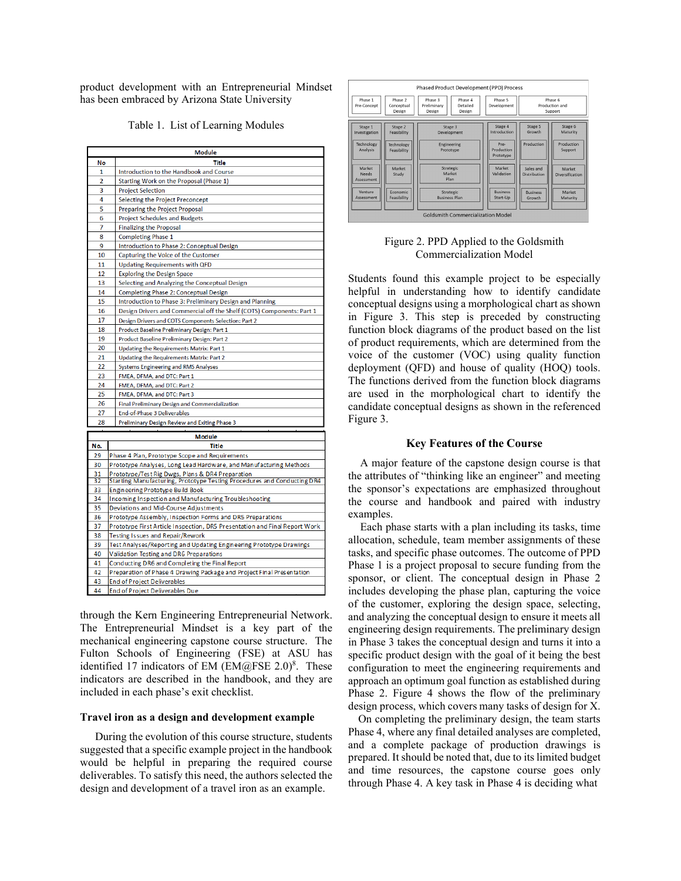product development with an Entrepreneurial Mindset has been embraced by Arizona State University

Table 1. List of Learning Modules

| <b>Module</b>  |                                                                            |  |  |  |  |  |  |
|----------------|----------------------------------------------------------------------------|--|--|--|--|--|--|
| No             | <b>Title</b>                                                               |  |  |  |  |  |  |
| 1              | Introduction to the Handbook and Course                                    |  |  |  |  |  |  |
| $\overline{2}$ | Starting Work on the Proposal (Phase 1)                                    |  |  |  |  |  |  |
| 3              | <b>Project Selection</b>                                                   |  |  |  |  |  |  |
| 4              | Selecting the Project Preconcept                                           |  |  |  |  |  |  |
| 5              | Preparing the Project Proposal                                             |  |  |  |  |  |  |
| 6              | <b>Project Schedules and Budgets</b>                                       |  |  |  |  |  |  |
| 7              | <b>Finalizing the Proposal</b>                                             |  |  |  |  |  |  |
| 8              | <b>Completing Phase 1</b>                                                  |  |  |  |  |  |  |
| 9              | Introduction to Phase 2: Conceptual Design                                 |  |  |  |  |  |  |
| 10             | Capturing the Voice of the Customer                                        |  |  |  |  |  |  |
| 11             | <b>Updating Requirements with QFD</b>                                      |  |  |  |  |  |  |
| 12             | <b>Exploring the Design Space</b>                                          |  |  |  |  |  |  |
| 13             | Selecting and Analyzing the Conceptual Design                              |  |  |  |  |  |  |
| 14             | Completing Phase 2: Conceptual Design                                      |  |  |  |  |  |  |
| 15             | Introduction to Phase 3: Preliminary Design and Planning                   |  |  |  |  |  |  |
| 16             | Design Drivers and Commercial off the Shelf (COTS) Components: Part 1      |  |  |  |  |  |  |
| 17             | Design Drivers and COTS Components Selection: Part 2                       |  |  |  |  |  |  |
| 18             | Product Baseline Preliminary Design: Part 1                                |  |  |  |  |  |  |
| 19             | Product Baseline Preliminary Design: Part 2                                |  |  |  |  |  |  |
| 20             | Updating the Requirements Matrix: Part 1                                   |  |  |  |  |  |  |
| 21             | Updating the Requirements Matrix: Part 2                                   |  |  |  |  |  |  |
| 22             | Systems Engineering and RMS Analyses                                       |  |  |  |  |  |  |
| 23             | FMEA, DFMA, and DTC: Part 1                                                |  |  |  |  |  |  |
| 24             | FMEA, DFMA, and DTC: Part 2                                                |  |  |  |  |  |  |
| 25             | FMEA, DFMA, and DTC: Part 3                                                |  |  |  |  |  |  |
| 26             | Final Preliminary Design and Commercialization                             |  |  |  |  |  |  |
| 27             | End-of-Phase 3 Deliverables                                                |  |  |  |  |  |  |
| 28             | Preliminary Design Review and Exiting Phase 3                              |  |  |  |  |  |  |
|                | <b>Module</b>                                                              |  |  |  |  |  |  |
| No.            | <b>Title</b>                                                               |  |  |  |  |  |  |
| 29             | Phase 4 Plan, Prototype Scope and Requirements                             |  |  |  |  |  |  |
| 30             | Prototype Analyses, Long Lead Hardware, and Manufacturing Methods          |  |  |  |  |  |  |
| 31             | Prototype/Test Rig Dwgs, Plans & DR4 Preparation                           |  |  |  |  |  |  |
| 32             | Starting Manufacturing, Prototype Testing Procedures and Conducting DR4    |  |  |  |  |  |  |
| 33             | Engineering Prototype Build Book                                           |  |  |  |  |  |  |
| 34             | Incoming Inspection and Manufacturing Troubleshooting                      |  |  |  |  |  |  |
| 35             | Deviations and Mid-Course Adjustments                                      |  |  |  |  |  |  |
| 36             | Prototype Assembly, Inspection Forms and DR5 Preparations                  |  |  |  |  |  |  |
| 37             | Prototype First Article Inspection, DR5 Presentation and Final Report Work |  |  |  |  |  |  |
| 38             | Testing Issues and Repair/Rework                                           |  |  |  |  |  |  |
| 39             | Test Analyses/Reporting and Updating Engineering Prototype Drawings        |  |  |  |  |  |  |
| 40             | Validation Testing and DR6 Preparations                                    |  |  |  |  |  |  |
| 41             | Conducting DR6 and Completing the Final Report                             |  |  |  |  |  |  |
| 42             | Preparation of Phase 4 Drawing Package and Project Final Presentation      |  |  |  |  |  |  |
| 43             | <b>End of Project Deliverables</b>                                         |  |  |  |  |  |  |
| 44             | End of Project Deliverables Due                                            |  |  |  |  |  |  |

through the Kern Engineering Entrepreneurial Network. The Entrepreneurial Mindset is a key part of the mechanical engineering capstone course structure. The Fulton Schools of Engineering (FSE) at ASU has identified 17 indicators of EM  $(EM@FSE 2.0)^8$ . These indicators are described in the handbook, and they are included in each phase's exit checklist.

### **Travel iron as a design and development example**

During the evolution of this course structure, students suggested that a specific example project in the handbook would be helpful in preparing the required course deliverables. To satisfy this need, the authors selected the design and development of a travel iron as an example.

| Phased Product Development (PPD) Process |                                 |                                          |                               |  |                                 |  |                           |  |                                      |
|------------------------------------------|---------------------------------|------------------------------------------|-------------------------------|--|---------------------------------|--|---------------------------|--|--------------------------------------|
| Phase 1<br>Pre-Concept                   | Phase 2<br>Conceptual<br>Design | Phase 3<br>Preliminary<br>Design         | Phase 4<br>Detailed<br>Design |  | Phase 5<br>Development          |  |                           |  | Phase 6<br>Production and<br>Support |
| Stage 1<br>Investigation                 | Stage 2<br>Feasibility          | Stage 3<br>Development                   |                               |  | Stage 4<br>Introduction         |  | Stage 5<br>Growth         |  | Stage 6<br>Maturity                  |
| Technology<br>Analysis                   | Technology<br>Feasibility       | Engineering<br>Prototype                 |                               |  | Pre-<br>Production<br>Prototype |  | Production                |  | Production<br>Support                |
| Market<br><b>Needs</b><br>Assessment     | Market<br>Study                 | Strategic<br>Market<br>Plan              |                               |  | Market<br>Validation            |  | Sales and<br>Distribution |  | Market<br>Diversification            |
| Venture<br>Assessment                    | Economic<br>Feasibility         | <b>Strategic</b><br><b>Business Plan</b> |                               |  | <b>Business</b><br>Start-Up     |  | <b>Business</b><br>Growth |  | Market<br>Maturity                   |
| <b>Goldsmith Commercialization Model</b> |                                 |                                          |                               |  |                                 |  |                           |  |                                      |

| Figure 2. PPD Applied to the Goldsmith |
|----------------------------------------|
| Commercialization Model                |

Students found this example project to be especially helpful in understanding how to identify candidate conceptual designs using a morphological chart as shown in Figure 3. This step is preceded by constructing function block diagrams of the product based on the list of product requirements, which are determined from the voice of the customer (VOC) using quality function deployment (QFD) and house of quality (HOQ) tools. The functions derived from the function block diagrams are used in the morphological chart to identify the candidate conceptual designs as shown in the referenced Figure 3.

# **Key Features of the Course**

A major feature of the capstone design course is that the attributes of "thinking like an engineer" and meeting the sponsor's expectations are emphasized throughout the course and handbook and paired with industry examples.

Each phase starts with a plan including its tasks, time allocation, schedule, team member assignments of these tasks, and specific phase outcomes. The outcome of PPD Phase 1 is a project proposal to secure funding from the sponsor, or client. The conceptual design in Phase 2 includes developing the phase plan, capturing the voice of the customer, exploring the design space, selecting, and analyzing the conceptual design to ensure it meets all engineering design requirements. The preliminary design in Phase 3 takes the conceptual design and turns it into a specific product design with the goal of it being the best configuration to meet the engineering requirements and approach an optimum goal function as established during Phase 2. Figure 4 shows the flow of the preliminary design process, which covers many tasks of design for X.

On completing the preliminary design, the team starts Phase 4, where any final detailed analyses are completed, and a complete package of production drawings is prepared. It should be noted that, due to its limited budget and time resources, the capstone course goes only through Phase 4. A key task in Phase 4 is deciding what